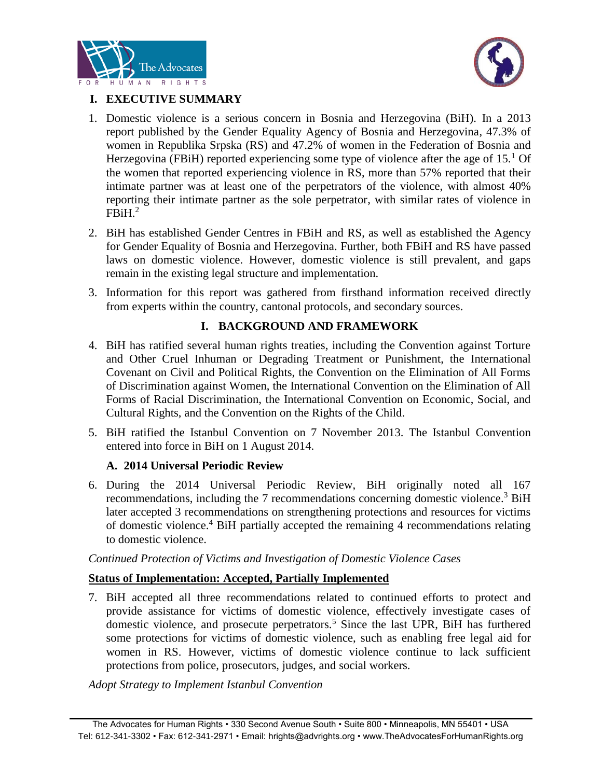



# **I. EXECUTIVE SUMMARY**

- 1. Domestic violence is a serious concern in Bosnia and Herzegovina (BiH). In a 2013 report published by the Gender Equality Agency of Bosnia and Herzegovina, 47.3% of women in Republika Srpska (RS) and 47.2% of women in the Federation of Bosnia and Herzegovina (FBiH) reported experiencing some type of violence after the age of  $15<sup>1</sup>$  Of the women that reported experiencing violence in RS, more than 57% reported that their intimate partner was at least one of the perpetrators of the violence, with almost 40% reporting their intimate partner as the sole perpetrator, with similar rates of violence in  $FBiH.<sup>2</sup>$
- 2. BiH has established Gender Centres in FBiH and RS, as well as established the Agency for Gender Equality of Bosnia and Herzegovina. Further, both FBiH and RS have passed laws on domestic violence. However, domestic violence is still prevalent, and gaps remain in the existing legal structure and implementation.
- 3. Information for this report was gathered from firsthand information received directly from experts within the country, cantonal protocols, and secondary sources.

# **I. BACKGROUND AND FRAMEWORK**

- 4. BiH has ratified several human rights treaties, including the Convention against Torture and Other Cruel Inhuman or Degrading Treatment or Punishment, the International Covenant on Civil and Political Rights, the Convention on the Elimination of All Forms of Discrimination against Women, the International Convention on the Elimination of All Forms of Racial Discrimination, the International Convention on Economic, Social, and Cultural Rights, and the Convention on the Rights of the Child.
- 5. BiH ratified the Istanbul Convention on 7 November 2013. The Istanbul Convention entered into force in BiH on 1 August 2014.

## **A. 2014 Universal Periodic Review**

6. During the 2014 Universal Periodic Review, BiH originally noted all 167 recommendations, including the 7 recommendations concerning domestic violence.<sup>3</sup> BiH later accepted 3 recommendations on strengthening protections and resources for victims of domestic violence.<sup>4</sup> BiH partially accepted the remaining 4 recommendations relating to domestic violence.

*Continued Protection of Victims and Investigation of Domestic Violence Cases*

## **Status of Implementation: Accepted, Partially Implemented**

7. BiH accepted all three recommendations related to continued efforts to protect and provide assistance for victims of domestic violence, effectively investigate cases of domestic violence, and prosecute perpetrators.<sup>5</sup> Since the last UPR, BiH has furthered some protections for victims of domestic violence, such as enabling free legal aid for women in RS. However, victims of domestic violence continue to lack sufficient protections from police, prosecutors, judges, and social workers.

*Adopt Strategy to Implement Istanbul Convention*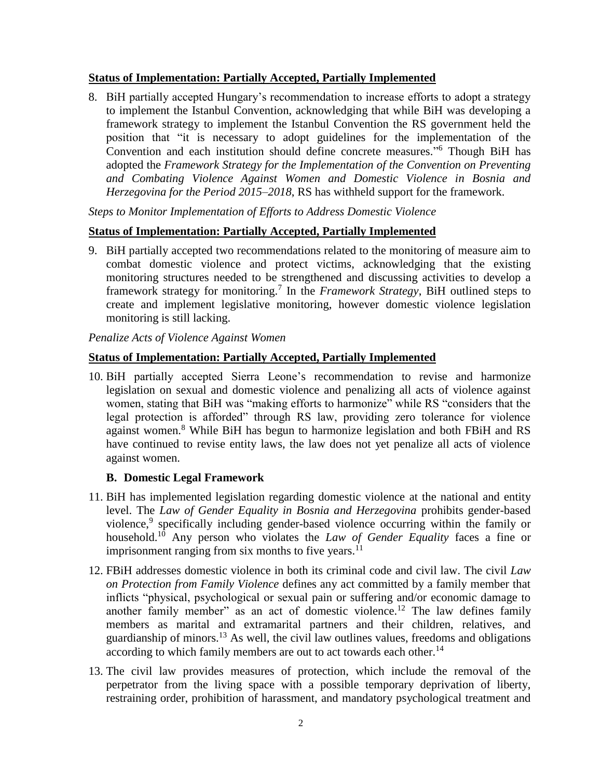### **Status of Implementation: Partially Accepted, Partially Implemented**

8. BiH partially accepted Hungary's recommendation to increase efforts to adopt a strategy to implement the Istanbul Convention, acknowledging that while BiH was developing a framework strategy to implement the Istanbul Convention the RS government held the position that "it is necessary to adopt guidelines for the implementation of the Convention and each institution should define concrete measures." <sup>6</sup> Though BiH has adopted the *Framework Strategy for the Implementation of the Convention on Preventing and Combating Violence Against Women and Domestic Violence in Bosnia and Herzegovina for the Period 2015–2018*, RS has withheld support for the framework.

*Steps to Monitor Implementation of Efforts to Address Domestic Violence*

### **Status of Implementation: Partially Accepted, Partially Implemented**

9. BiH partially accepted two recommendations related to the monitoring of measure aim to combat domestic violence and protect victims, acknowledging that the existing monitoring structures needed to be strengthened and discussing activities to develop a framework strategy for monitoring.<sup>7</sup> In the *Framework Strategy*, BiH outlined steps to create and implement legislative monitoring, however domestic violence legislation monitoring is still lacking.

*Penalize Acts of Violence Against Women*

### **Status of Implementation: Partially Accepted, Partially Implemented**

10. BiH partially accepted Sierra Leone's recommendation to revise and harmonize legislation on sexual and domestic violence and penalizing all acts of violence against women, stating that BiH was "making efforts to harmonize" while RS "considers that the legal protection is afforded" through RS law, providing zero tolerance for violence against women.<sup>8</sup> While BiH has begun to harmonize legislation and both FBiH and RS have continued to revise entity laws, the law does not yet penalize all acts of violence against women.

#### **B. Domestic Legal Framework**

- 11. BiH has implemented legislation regarding domestic violence at the national and entity level. The *Law of Gender Equality in Bosnia and Herzegovina* prohibits gender-based violence,<sup>9</sup> specifically including gender-based violence occurring within the family or household.<sup>10</sup> Any person who violates the *Law of Gender Equality* faces a fine or imprisonment ranging from six months to five years. $^{11}$
- 12. FBiH addresses domestic violence in both its criminal code and civil law. The civil *Law on Protection from Family Violence* defines any act committed by a family member that inflicts "physical, psychological or sexual pain or suffering and/or economic damage to another family member" as an act of domestic violence.<sup>12</sup> The law defines family members as marital and extramarital partners and their children, relatives, and guardianship of minors.<sup>13</sup> As well, the civil law outlines values, freedoms and obligations according to which family members are out to act towards each other.<sup>14</sup>
- 13. The civil law provides measures of protection, which include the removal of the perpetrator from the living space with a possible temporary deprivation of liberty, restraining order, prohibition of harassment, and mandatory psychological treatment and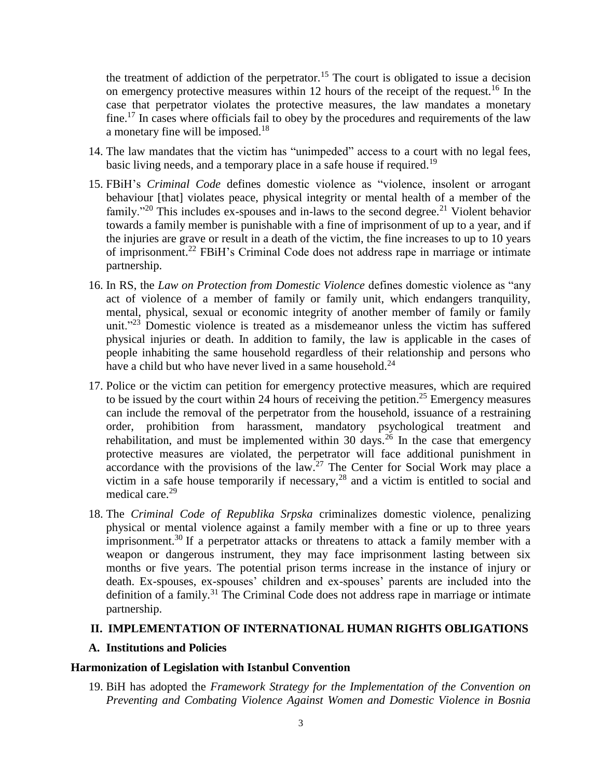the treatment of addiction of the perpetrator.<sup>15</sup> The court is obligated to issue a decision on emergency protective measures within 12 hours of the receipt of the request.<sup>16</sup> In the case that perpetrator violates the protective measures, the law mandates a monetary fine.<sup>17</sup> In cases where officials fail to obey by the procedures and requirements of the law a monetary fine will be imposed.<sup>18</sup>

- 14. The law mandates that the victim has "unimpeded" access to a court with no legal fees, basic living needs, and a temporary place in a safe house if required.<sup>19</sup>
- 15. FBiH's *Criminal Code* defines domestic violence as "violence, insolent or arrogant behaviour [that] violates peace, physical integrity or mental health of a member of the family."<sup>20</sup> This includes ex-spouses and in-laws to the second degree.<sup>21</sup> Violent behavior towards a family member is punishable with a fine of imprisonment of up to a year, and if the injuries are grave or result in a death of the victim, the fine increases to up to 10 years of imprisonment.<sup>22</sup> FBiH's Criminal Code does not address rape in marriage or intimate partnership.
- 16. In RS, the *Law on Protection from Domestic Violence* defines domestic violence as "any act of violence of a member of family or family unit, which endangers tranquility, mental, physical, sexual or economic integrity of another member of family or family unit."<sup>23</sup> Domestic violence is treated as a misdemeanor unless the victim has suffered physical injuries or death. In addition to family, the law is applicable in the cases of people inhabiting the same household regardless of their relationship and persons who have a child but who have never lived in a same household.<sup>24</sup>
- 17. Police or the victim can petition for emergency protective measures, which are required to be issued by the court within 24 hours of receiving the petition.<sup>25</sup> Emergency measures can include the removal of the perpetrator from the household, issuance of a restraining order, prohibition from harassment, mandatory psychological treatment and rehabilitation, and must be implemented within 30 days.<sup>26</sup> In the case that emergency protective measures are violated, the perpetrator will face additional punishment in accordance with the provisions of the law.<sup>27</sup> The Center for Social Work may place a victim in a safe house temporarily if necessary,  $28$  and a victim is entitled to social and medical care.<sup>29</sup>
- 18. The *Criminal Code of Republika Srpska* criminalizes domestic violence, penalizing physical or mental violence against a family member with a fine or up to three years imprisonment.<sup>30</sup> If a perpetrator attacks or threatens to attack a family member with a weapon or dangerous instrument, they may face imprisonment lasting between six months or five years. The potential prison terms increase in the instance of injury or death. Ex-spouses, ex-spouses' children and ex-spouses' parents are included into the definition of a family.<sup>31</sup> The Criminal Code does not address rape in marriage or intimate partnership.

#### **II. IMPLEMENTATION OF INTERNATIONAL HUMAN RIGHTS OBLIGATIONS**

#### **A. Institutions and Policies**

#### **Harmonization of Legislation with Istanbul Convention**

19. BiH has adopted the *Framework Strategy for the Implementation of the Convention on Preventing and Combating Violence Against Women and Domestic Violence in Bosnia*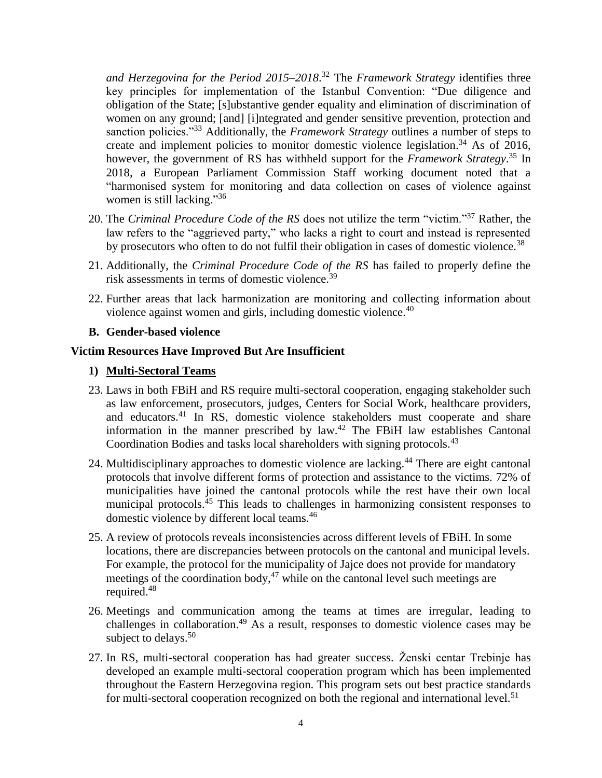*and Herzegovina for the Period 2015–2018*. <sup>32</sup> The *Framework Strategy* identifies three key principles for implementation of the Istanbul Convention: "Due diligence and obligation of the State; [s]ubstantive gender equality and elimination of discrimination of women on any ground; [and] [i]ntegrated and gender sensitive prevention, protection and sanction policies."<sup>33</sup> Additionally, the *Framework Strategy* outlines a number of steps to create and implement policies to monitor domestic violence legislation.<sup>34</sup> As of 2016, however, the government of RS has withheld support for the *Framework Strategy*. <sup>35</sup> In 2018, a European Parliament Commission Staff working document noted that a "harmonised system for monitoring and data collection on cases of violence against women is still lacking."<sup>36</sup>

- 20. The *Criminal Procedure Code of the RS* does not utilize the term "victim."<sup>37</sup> Rather, the law refers to the "aggrieved party," who lacks a right to court and instead is represented by prosecutors who often to do not fulfil their obligation in cases of domestic violence.<sup>38</sup>
- 21. Additionally, the *Criminal Procedure Code of the RS* has failed to properly define the risk assessments in terms of domestic violence.<sup>39</sup>
- 22. Further areas that lack harmonization are monitoring and collecting information about violence against women and girls, including domestic violence.<sup>40</sup>

#### **B. Gender-based violence**

#### **Victim Resources Have Improved But Are Insufficient**

#### **1) Multi-Sectoral Teams**

- 23. Laws in both FBiH and RS require multi-sectoral cooperation, engaging stakeholder such as law enforcement, prosecutors, judges, Centers for Social Work, healthcare providers, and educators.<sup>41</sup> In RS, domestic violence stakeholders must cooperate and share information in the manner prescribed by law.<sup>42</sup> The FBiH law establishes Cantonal Coordination Bodies and tasks local shareholders with signing protocols.<sup>43</sup>
- 24. Multidisciplinary approaches to domestic violence are lacking.<sup>44</sup> There are eight cantonal protocols that involve different forms of protection and assistance to the victims. 72% of municipalities have joined the cantonal protocols while the rest have their own local municipal protocols.<sup>45</sup> This leads to challenges in harmonizing consistent responses to domestic violence by different local teams.<sup>46</sup>
- 25. A review of protocols reveals inconsistencies across different levels of FBiH. In some locations, there are discrepancies between protocols on the cantonal and municipal levels. For example, the protocol for the municipality of Jajce does not provide for mandatory meetings of the coordination body, $47$  while on the cantonal level such meetings are required.<sup>48</sup>
- 26. Meetings and communication among the teams at times are irregular, leading to challenges in collaboration. <sup>49</sup> As a result, responses to domestic violence cases may be subject to delays.<sup>50</sup>
- 27. In RS, multi-sectoral cooperation has had greater success. Ženski centar Trebinje has developed an example multi-sectoral cooperation program which has been implemented throughout the Eastern Herzegovina region. This program sets out best practice standards for multi-sectoral cooperation recognized on both the regional and international level.<sup>51</sup>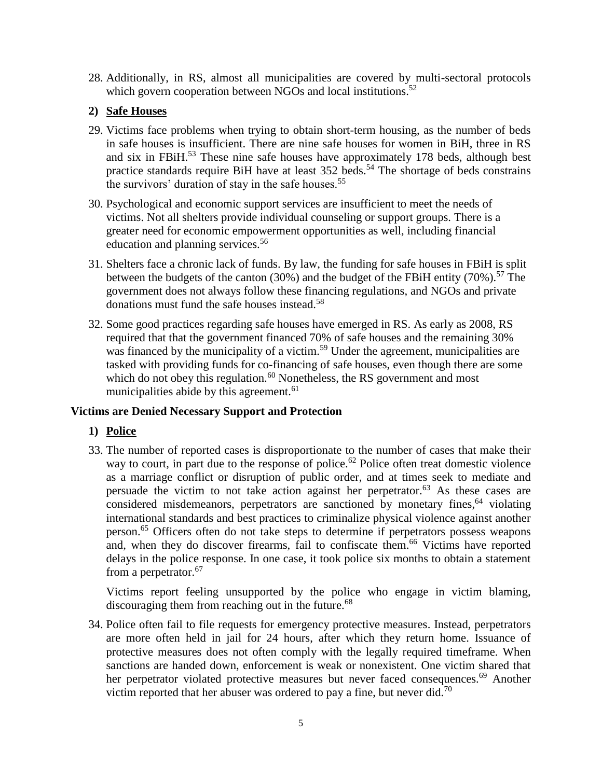28. Additionally, in RS, almost all municipalities are covered by multi-sectoral protocols which govern cooperation between NGOs and local institutions.<sup>52</sup>

## **2) Safe Houses**

- 29. Victims face problems when trying to obtain short-term housing, as the number of beds in safe houses is insufficient. There are nine safe houses for women in BiH, three in RS and six in FBiH.<sup>53</sup> These nine safe houses have approximately 178 beds, although best practice standards require BiH have at least 352 beds.<sup>54</sup> The shortage of beds constrains the survivors' duration of stay in the safe houses.<sup>55</sup>
- 30. Psychological and economic support services are insufficient to meet the needs of victims. Not all shelters provide individual counseling or support groups. There is a greater need for economic empowerment opportunities as well, including financial education and planning services.<sup>56</sup>
- 31. Shelters face a chronic lack of funds. By law, the funding for safe houses in FBiH is split between the budgets of the canton (30%) and the budget of the FBiH entity (70%).<sup>57</sup> The government does not always follow these financing regulations, and NGOs and private donations must fund the safe houses instead.<sup>58</sup>
- 32. Some good practices regarding safe houses have emerged in RS. As early as 2008, RS required that that the government financed 70% of safe houses and the remaining 30% was financed by the municipality of a victim.<sup>59</sup> Under the agreement, municipalities are tasked with providing funds for co-financing of safe houses, even though there are some which do not obey this regulation. $60$  Nonetheless, the RS government and most municipalities abide by this agreement.<sup>61</sup>

## **Victims are Denied Necessary Support and Protection**

## **1) Police**

33. The number of reported cases is disproportionate to the number of cases that make their way to court, in part due to the response of police.<sup>62</sup> Police often treat domestic violence as a marriage conflict or disruption of public order, and at times seek to mediate and persuade the victim to not take action against her perpetrator.<sup>63</sup> As these cases are considered misdemeanors, perpetrators are sanctioned by monetary fines, <sup>64</sup> violating international standards and best practices to criminalize physical violence against another person.<sup>65</sup> Officers often do not take steps to determine if perpetrators possess weapons and, when they do discover firearms, fail to confiscate them. <sup>66</sup> Victims have reported delays in the police response. In one case, it took police six months to obtain a statement from a perpetrator.<sup>67</sup>

Victims report feeling unsupported by the police who engage in victim blaming, discouraging them from reaching out in the future.<sup>68</sup>

34. Police often fail to file requests for emergency protective measures. Instead, perpetrators are more often held in jail for 24 hours, after which they return home. Issuance of protective measures does not often comply with the legally required timeframe. When sanctions are handed down, enforcement is weak or nonexistent. One victim shared that her perpetrator violated protective measures but never faced consequences.<sup>69</sup> Another victim reported that her abuser was ordered to pay a fine, but never did.<sup>70</sup>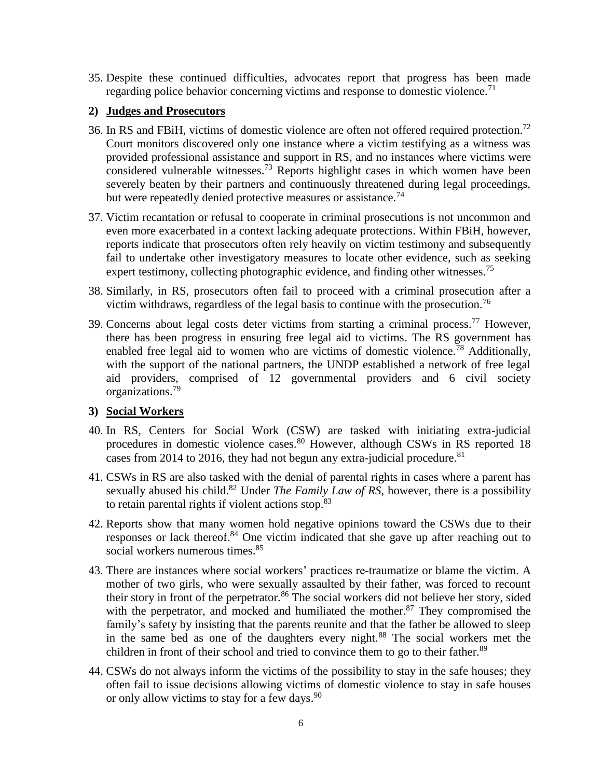35. Despite these continued difficulties, advocates report that progress has been made regarding police behavior concerning victims and response to domestic violence.<sup>71</sup>

### **2) Judges and Prosecutors**

- 36. In RS and FBiH, victims of domestic violence are often not offered required protection.<sup>72</sup> Court monitors discovered only one instance where a victim testifying as a witness was provided professional assistance and support in RS, and no instances where victims were considered vulnerable witnesses.<sup>73</sup> Reports highlight cases in which women have been severely beaten by their partners and continuously threatened during legal proceedings, but were repeatedly denied protective measures or assistance.<sup>74</sup>
- 37. Victim recantation or refusal to cooperate in criminal prosecutions is not uncommon and even more exacerbated in a context lacking adequate protections. Within FBiH, however, reports indicate that prosecutors often rely heavily on victim testimony and subsequently fail to undertake other investigatory measures to locate other evidence, such as seeking expert testimony, collecting photographic evidence, and finding other witnesses.<sup>75</sup>
- 38. Similarly, in RS, prosecutors often fail to proceed with a criminal prosecution after a victim withdraws, regardless of the legal basis to continue with the prosecution.<sup>76</sup>
- 39. Concerns about legal costs deter victims from starting a criminal process.<sup>77</sup> However, there has been progress in ensuring free legal aid to victims. The RS government has enabled free legal aid to women who are victims of domestic violence.<sup>78</sup> Additionally, with the support of the national partners, the UNDP established a network of free legal aid providers, comprised of 12 governmental providers and 6 civil society organizations.<sup>79</sup>

## **3) Social Workers**

- 40. In RS, Centers for Social Work (CSW) are tasked with initiating extra-judicial procedures in domestic violence cases.<sup>80</sup> However, although CSWs in RS reported 18 cases from 2014 to 2016, they had not begun any extra-judicial procedure. $81$
- 41. CSWs in RS are also tasked with the denial of parental rights in cases where a parent has sexually abused his child.<sup>82</sup> Under *The Family Law of RS*, however, there is a possibility to retain parental rights if violent actions stop.<sup>83</sup>
- 42. Reports show that many women hold negative opinions toward the CSWs due to their responses or lack thereof. <sup>84</sup> One victim indicated that she gave up after reaching out to social workers numerous times. 85
- 43. There are instances where social workers' practices re-traumatize or blame the victim. A mother of two girls, who were sexually assaulted by their father, was forced to recount their story in front of the perpetrator.<sup>86</sup> The social workers did not believe her story, sided with the perpetrator, and mocked and humiliated the mother.<sup>87</sup> They compromised the family's safety by insisting that the parents reunite and that the father be allowed to sleep in the same bed as one of the daughters every night.<sup>88</sup> The social workers met the children in front of their school and tried to convince them to go to their father.<sup>89</sup>
- 44. CSWs do not always inform the victims of the possibility to stay in the safe houses; they often fail to issue decisions allowing victims of domestic violence to stay in safe houses or only allow victims to stay for a few days.<sup>90</sup>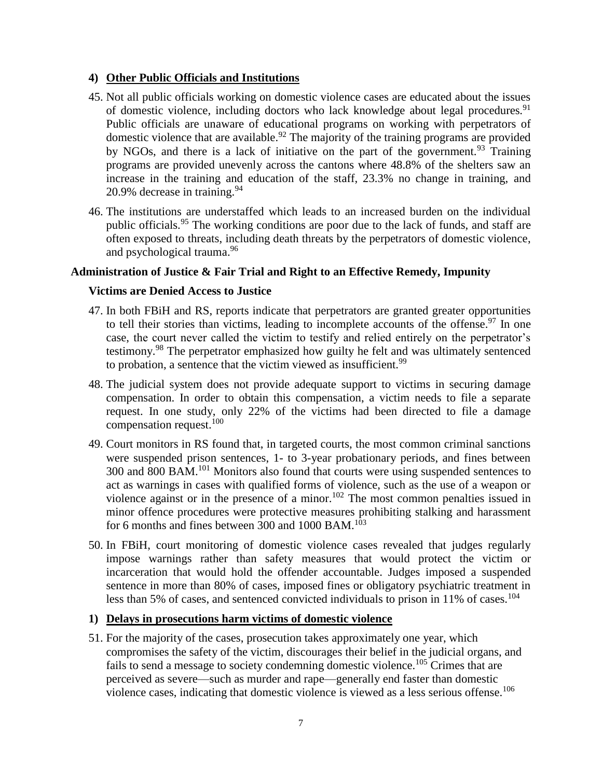### **4) Other Public Officials and Institutions**

- 45. Not all public officials working on domestic violence cases are educated about the issues of domestic violence, including doctors who lack knowledge about legal procedures.<sup>91</sup> Public officials are unaware of educational programs on working with perpetrators of domestic violence that are available.<sup>92</sup> The majority of the training programs are provided by NGOs, and there is a lack of initiative on the part of the government.<sup>93</sup> Training programs are provided unevenly across the cantons where 48.8% of the shelters saw an increase in the training and education of the staff, 23.3% no change in training, and 20.9% decrease in training.  $94$
- 46. The institutions are understaffed which leads to an increased burden on the individual public officials.<sup>95</sup> The working conditions are poor due to the lack of funds, and staff are often exposed to threats, including death threats by the perpetrators of domestic violence, and psychological trauma. 96

### **Administration of Justice & Fair Trial and Right to an Effective Remedy, Impunity**

### **Victims are Denied Access to Justice**

- 47. In both FBiH and RS, reports indicate that perpetrators are granted greater opportunities to tell their stories than victims, leading to incomplete accounts of the offense.<sup>97</sup> In one case, the court never called the victim to testify and relied entirely on the perpetrator's testimony.<sup>98</sup> The perpetrator emphasized how guilty he felt and was ultimately sentenced to probation, a sentence that the victim viewed as insufficient.<sup>99</sup>
- 48. The judicial system does not provide adequate support to victims in securing damage compensation. In order to obtain this compensation, a victim needs to file a separate request. In one study, only 22% of the victims had been directed to file a damage compensation request.<sup>100</sup>
- 49. Court monitors in RS found that, in targeted courts, the most common criminal sanctions were suspended prison sentences, 1- to 3-year probationary periods, and fines between 300 and 800 BAM.<sup>101</sup> Monitors also found that courts were using suspended sentences to act as warnings in cases with qualified forms of violence, such as the use of a weapon or violence against or in the presence of a minor.<sup>102</sup> The most common penalties issued in minor offence procedures were protective measures prohibiting stalking and harassment for 6 months and fines between 300 and  $1000$  BAM.<sup>103</sup>
- 50. In FBiH, court monitoring of domestic violence cases revealed that judges regularly impose warnings rather than safety measures that would protect the victim or incarceration that would hold the offender accountable. Judges imposed a suspended sentence in more than 80% of cases, imposed fines or obligatory psychiatric treatment in less than 5% of cases, and sentenced convicted individuals to prison in 11% of cases.<sup>104</sup>

## **1) Delays in prosecutions harm victims of domestic violence**

51. For the majority of the cases, prosecution takes approximately one year, which compromises the safety of the victim, discourages their belief in the judicial organs, and fails to send a message to society condemning domestic violence.<sup>105</sup> Crimes that are perceived as severe—such as murder and rape—generally end faster than domestic violence cases, indicating that domestic violence is viewed as a less serious offense.<sup>106</sup>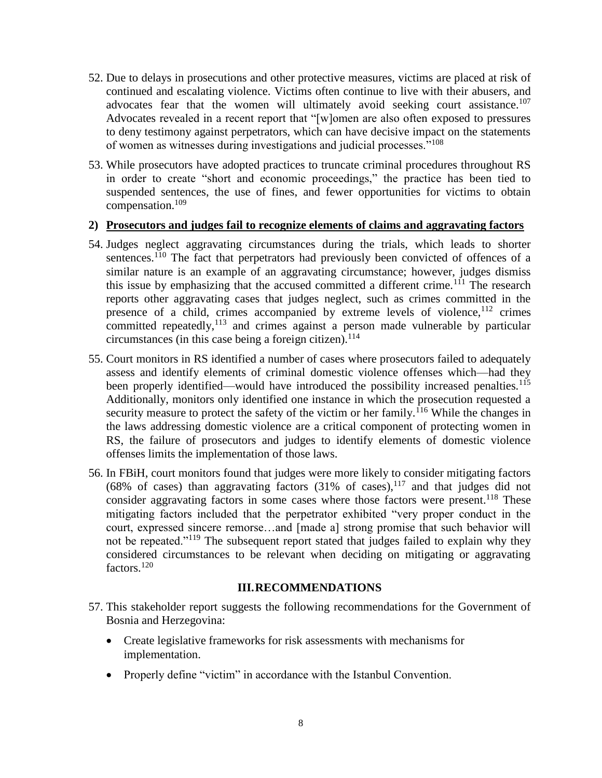- 52. Due to delays in prosecutions and other protective measures, victims are placed at risk of continued and escalating violence. Victims often continue to live with their abusers, and advocates fear that the women will ultimately avoid seeking court assistance.<sup>107</sup> Advocates revealed in a recent report that "[w]omen are also often exposed to pressures to deny testimony against perpetrators, which can have decisive impact on the statements of women as witnesses during investigations and judicial processes."<sup>108</sup>
- 53. While prosecutors have adopted practices to truncate criminal procedures throughout RS in order to create "short and economic proceedings," the practice has been tied to suspended sentences, the use of fines, and fewer opportunities for victims to obtain compensation.<sup>109</sup>

#### **2) Prosecutors and judges fail to recognize elements of claims and aggravating factors**

- 54. Judges neglect aggravating circumstances during the trials, which leads to shorter sentences.<sup>110</sup> The fact that perpetrators had previously been convicted of offences of a similar nature is an example of an aggravating circumstance; however, judges dismiss this issue by emphasizing that the accused committed a different crime.<sup>111</sup> The research reports other aggravating cases that judges neglect, such as crimes committed in the presence of a child, crimes accompanied by extreme levels of violence,  $12$  crimes committed repeatedly, $113$  and crimes against a person made vulnerable by particular circumstances (in this case being a foreign citizen).<sup>114</sup>
- 55. Court monitors in RS identified a number of cases where prosecutors failed to adequately assess and identify elements of criminal domestic violence offenses which—had they been properly identified—would have introduced the possibility increased penalties.<sup>115</sup> Additionally, monitors only identified one instance in which the prosecution requested a security measure to protect the safety of the victim or her family.<sup>116</sup> While the changes in the laws addressing domestic violence are a critical component of protecting women in RS, the failure of prosecutors and judges to identify elements of domestic violence offenses limits the implementation of those laws.
- 56. In FBiH, court monitors found that judges were more likely to consider mitigating factors (68% of cases) than aggravating factors  $(31\% \text{ of cases})$ ,  $^{117}$  and that judges did not consider aggravating factors in some cases where those factors were present.<sup>118</sup> These mitigating factors included that the perpetrator exhibited "very proper conduct in the court, expressed sincere remorse…and [made a] strong promise that such behavior will not be repeated."<sup>119</sup> The subsequent report stated that judges failed to explain why they considered circumstances to be relevant when deciding on mitigating or aggravating factors.<sup>120</sup>

#### **III.RECOMMENDATIONS**

- 57. This stakeholder report suggests the following recommendations for the Government of Bosnia and Herzegovina:
	- Create legislative frameworks for risk assessments with mechanisms for implementation.
	- Properly define "victim" in accordance with the Istanbul Convention.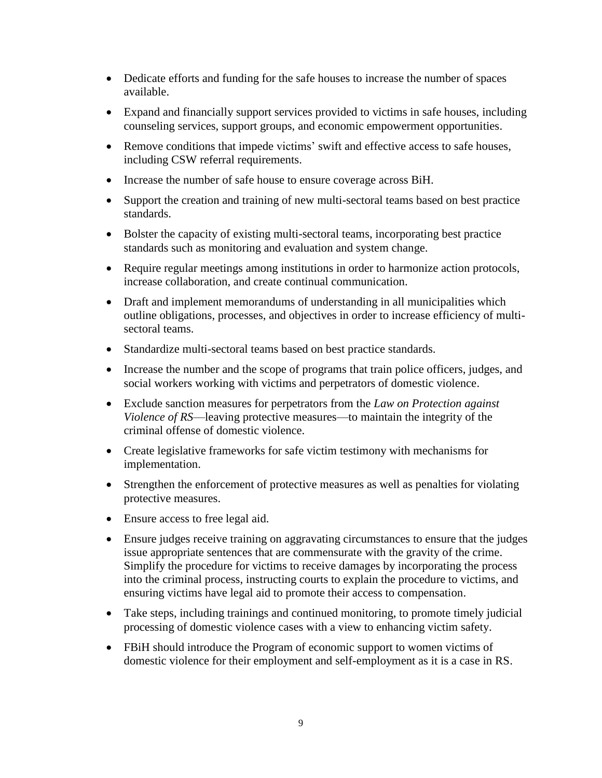- Dedicate efforts and funding for the safe houses to increase the number of spaces available.
- Expand and financially support services provided to victims in safe houses, including counseling services, support groups, and economic empowerment opportunities.
- Remove conditions that impede victims' swift and effective access to safe houses, including CSW referral requirements.
- Increase the number of safe house to ensure coverage across BiH.
- Support the creation and training of new multi-sectoral teams based on best practice standards.
- Bolster the capacity of existing multi-sectoral teams, incorporating best practice standards such as monitoring and evaluation and system change.
- Require regular meetings among institutions in order to harmonize action protocols, increase collaboration, and create continual communication.
- Draft and implement memorandums of understanding in all municipalities which outline obligations, processes, and objectives in order to increase efficiency of multisectoral teams.
- Standardize multi-sectoral teams based on best practice standards.
- Increase the number and the scope of programs that train police officers, judges, and social workers working with victims and perpetrators of domestic violence.
- Exclude sanction measures for perpetrators from the *Law on Protection against Violence of RS*—leaving protective measures—to maintain the integrity of the criminal offense of domestic violence.
- Create legislative frameworks for safe victim testimony with mechanisms for implementation.
- Strengthen the enforcement of protective measures as well as penalties for violating protective measures.
- Ensure access to free legal aid.
- Ensure judges receive training on aggravating circumstances to ensure that the judges issue appropriate sentences that are commensurate with the gravity of the crime. Simplify the procedure for victims to receive damages by incorporating the process into the criminal process, instructing courts to explain the procedure to victims, and ensuring victims have legal aid to promote their access to compensation.
- Take steps, including trainings and continued monitoring, to promote timely judicial processing of domestic violence cases with a view to enhancing victim safety.
- FBiH should introduce the Program of economic support to women victims of domestic violence for their employment and self-employment as it is a case in RS.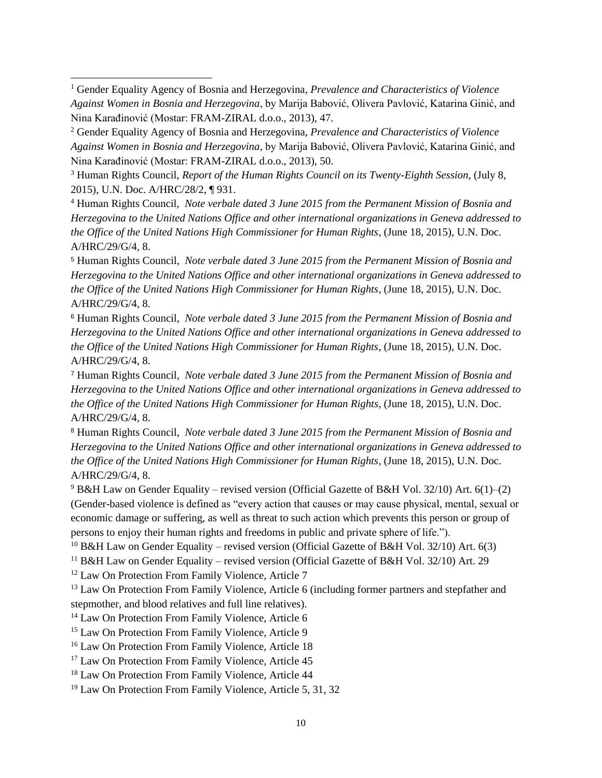<sup>1</sup> Gender Equality Agency of Bosnia and Herzegovina, *Prevalence and Characteristics of Violence Against Women in Bosnia and Herzegovina*, by Marija Babović, Olivera Pavlović, Katarina Ginić, and Nina Karađinović (Mostar: FRAM-ZIRAL d.o.o., 2013), 47.

<sup>2</sup> Gender Equality Agency of Bosnia and Herzegovina, *Prevalence and Characteristics of Violence Against Women in Bosnia and Herzegovina*, by Marija Babović, Olivera Pavlović, Katarina Ginić, and Nina Karađinović (Mostar: FRAM-ZIRAL d.o.o., 2013), 50.

<sup>3</sup> Human Rights Council, *Report of the Human Rights Council on its Twenty-Eighth Session*, (July 8, 2015), U.N. Doc. A/HRC/28/2, ¶ 931.

<sup>4</sup> Human Rights Council, *Note verbale dated 3 June 2015 from the Permanent Mission of Bosnia and Herzegovina to the United Nations Office and other international organizations in Geneva addressed to the Office of the United Nations High Commissioner for Human Rights*, (June 18, 2015), U.N. Doc. A/HRC/29/G/4, 8.

<sup>5</sup> Human Rights Council, *Note verbale dated 3 June 2015 from the Permanent Mission of Bosnia and Herzegovina to the United Nations Office and other international organizations in Geneva addressed to the Office of the United Nations High Commissioner for Human Rights*, (June 18, 2015), U.N. Doc. A/HRC/29/G/4, 8.

<sup>6</sup> Human Rights Council, *Note verbale dated 3 June 2015 from the Permanent Mission of Bosnia and Herzegovina to the United Nations Office and other international organizations in Geneva addressed to the Office of the United Nations High Commissioner for Human Rights*, (June 18, 2015), U.N. Doc. A/HRC/29/G/4, 8.

<sup>7</sup> Human Rights Council, *Note verbale dated 3 June 2015 from the Permanent Mission of Bosnia and Herzegovina to the United Nations Office and other international organizations in Geneva addressed to the Office of the United Nations High Commissioner for Human Rights*, (June 18, 2015), U.N. Doc. A/HRC/29/G/4, 8.

<sup>8</sup> Human Rights Council, *Note verbale dated 3 June 2015 from the Permanent Mission of Bosnia and Herzegovina to the United Nations Office and other international organizations in Geneva addressed to the Office of the United Nations High Commissioner for Human Rights*, (June 18, 2015), U.N. Doc. A/HRC/29/G/4, 8.

 $9$  B&H Law on Gender Equality – revised version (Official Gazette of B&H Vol. 32/10) Art. 6(1)–(2) (Gender-based violence is defined as "every action that causes or may cause physical, mental, sexual or economic damage or suffering, as well as threat to such action which prevents this person or group of persons to enjoy their human rights and freedoms in public and private sphere of life.").

<sup>10</sup> B&H Law on Gender Equality – revised version (Official Gazette of B&H Vol. 32/10) Art. 6(3)

<sup>11</sup> B&H Law on Gender Equality – revised version (Official Gazette of B&H Vol. 32/10) Art. 29

<sup>12</sup> Law On Protection From Family Violence, Article 7

<sup>13</sup> Law On Protection From Family Violence, Article 6 (including former partners and stepfather and stepmother, and blood relatives and full line relatives).

<sup>14</sup> Law On Protection From Family Violence, Article 6

<sup>15</sup> Law On Protection From Family Violence, Article 9

<sup>16</sup> Law On Protection From Family Violence, Article 18

<sup>17</sup> Law On Protection From Family Violence, Article 45

<sup>18</sup> Law On Protection From Family Violence, Article 44

<sup>19</sup> Law On Protection From Family Violence, Article 5, 31, 32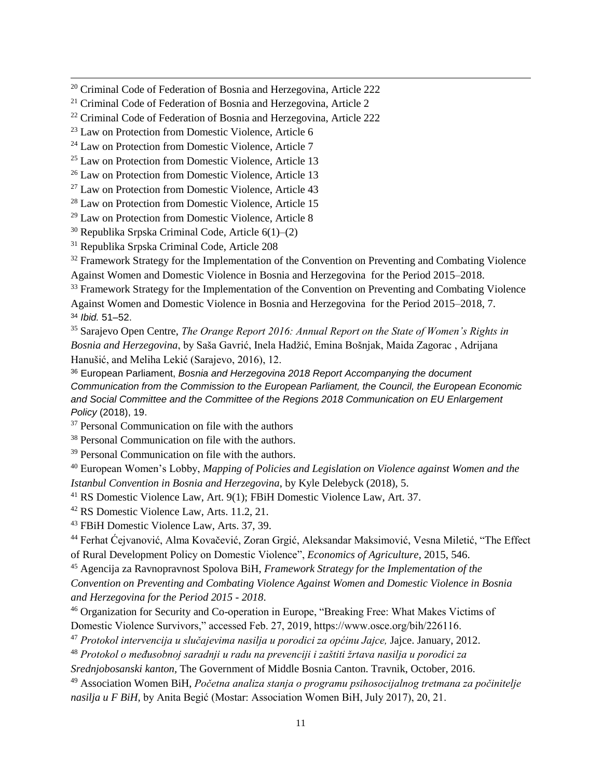<sup>20</sup> Criminal Code of Federation of Bosnia and Herzegovina, Article 222

<sup>21</sup> Criminal Code of Federation of Bosnia and Herzegovina, Article 2

<sup>22</sup> Criminal Code of Federation of Bosnia and Herzegovina, Article 222

<sup>23</sup> Law on Protection from Domestic Violence, Article 6

<sup>24</sup> Law on Protection from Domestic Violence, Article 7

<sup>25</sup> Law on Protection from Domestic Violence, Article 13

<sup>26</sup> Law on Protection from Domestic Violence, Article 13

<sup>27</sup> Law on Protection from Domestic Violence, Article 43

<sup>28</sup> Law on Protection from Domestic Violence, Article 15

<sup>29</sup> Law on Protection from Domestic Violence, Article 8

 $30$  Republika Srpska Criminal Code, Article  $6(1)$ – $(2)$ 

<sup>31</sup> Republika Srpska Criminal Code, Article 208

<sup>32</sup> Framework Strategy for the Implementation of the Convention on Preventing and Combating Violence Against Women and Domestic Violence in Bosnia and Herzegovina for the Period 2015–2018.

<sup>33</sup> Framework Strategy for the Implementation of the Convention on Preventing and Combating Violence Against Women and Domestic Violence in Bosnia and Herzegovina for the Period 2015–2018, 7. <sup>34</sup> *Ibid.* 51–52.

<sup>35</sup> Sarajevo Open Centre, *The Orange Report 2016: Annual Report on the State of Women's Rights in Bosnia and Herzegovina*, by Saša Gavrić, Inela Hadžić, Emina Bošnjak, Maida Zagorac , Adrijana Hanušić, and Meliha Lekić (Sarajevo, 2016), 12.

<sup>36</sup> European Parliament, *Bosnia and Herzegovina 2018 Report Accompanying the document Communication from the Commission to the European Parliament, the Council, the European Economic and Social Committee and the Committee of the Regions 2018 Communication on EU Enlargement Policy* (2018), 19.

<sup>37</sup> Personal Communication on file with the authors

<sup>38</sup> Personal Communication on file with the authors.

<sup>39</sup> Personal Communication on file with the authors.

<sup>40</sup> European Women's Lobby, *Mapping of Policies and Legislation on Violence against Women and the Istanbul Convention in Bosnia and Herzegovina*, by Kyle Delebyck (2018), 5.

<sup>41</sup> RS Domestic Violence Law, Art. 9(1); FBiH Domestic Violence Law, Art. 37.

<sup>42</sup> RS Domestic Violence Law, Arts. 11.2, 21.

<sup>43</sup> FBiH Domestic Violence Law, Arts. 37, 39.

<sup>44</sup> Ferhat Ćejvanović, Alma Kovačević, Zoran Grgić, Aleksandar Maksimović, Vesna Miletić, "The Effect of Rural Development Policy on Domestic Violence", *Economics of Agriculture*, 2015, 546.

<sup>45</sup> Agencija za Ravnopravnost Spolova BiH, *Framework Strategy for the Implementation of the* 

*Convention on Preventing and Combating Violence Against Women and Domestic Violence in Bosnia and Herzegovina for the Period 2015 - 2018*.

<sup>46</sup> Organization for Security and Co-operation in Europe, "Breaking Free: What Makes Victims of Domestic Violence Survivors," accessed Feb. 27, 2019, https://www.osce.org/bih/226116.

<sup>47</sup> *Protokol intervencija u slučajevima nasilja u porodici za općinu Jajce,* Jajce. January, 2012.

<sup>48</sup> *Protokol o međusobnoj saradnji u radu na prevenciji i zaštiti žrtava nasilja u porodici za* 

*Srednjobosanski kanton,* The Government of Middle Bosnia Canton. Travnik, October, 2016.

<sup>49</sup> Association Women BiH, *Početna analiza stanja o programu psihosocijalnog tretmana za počinitelje nasilja u F BiH,* by Anita Begić (Mostar: Association Women BiH, July 2017), 20, 21.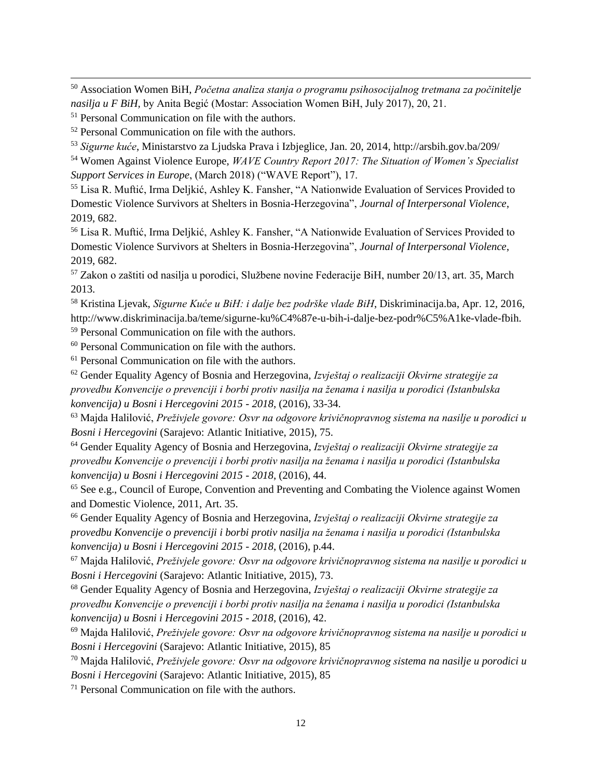<sup>50</sup> Association Women BiH, *Početna analiza stanja o programu psihosocijalnog tretmana za počinitelje nasilja u F BiH,* by Anita Begić (Mostar: Association Women BiH, July 2017), 20, 21.

<sup>51</sup> Personal Communication on file with the authors.

<sup>52</sup> Personal Communication on file with the authors.

<sup>53</sup> *Sigurne kuće*, Ministarstvo za Ljudska Prava i Izbjeglice, Jan. 20, 2014, http://arsbih.gov.ba/209/

<sup>54</sup> Women Against Violence Europe, *WAVE Country Report 2017: The Situation of Women's Specialist Support Services in Europe*, (March 2018) ("WAVE Report"), 17.

<sup>55</sup> Lisa R. Muftić, Irma Deljkić, Ashley K. Fansher, "A Nationwide Evaluation of Services Provided to Domestic Violence Survivors at Shelters in Bosnia-Herzegovina", *Journal of Interpersonal Violence*, 2019, 682.

<sup>56</sup> Lisa R. Muftić, Irma Deljkić, Ashley K. Fansher, "A Nationwide Evaluation of Services Provided to Domestic Violence Survivors at Shelters in Bosnia-Herzegovina", *Journal of Interpersonal Violence*, 2019, 682.

<sup>57</sup> Zakon o zaštiti od nasilja u porodici, Službene novine Federacije BiH, number 20/13, art. 35, March 2013.

<sup>58</sup> Kristina Ljevak, *Sigurne Kuće u BiH: i dalje bez podrške vlade BiH*, Diskriminacija.ba, Apr. 12, 2016, http://www.diskriminacija.ba/teme/sigurne-ku%C4%87e-u-bih-i-dalje-bez-podr%C5%A1ke-vlade-fbih.

<sup>59</sup> Personal Communication on file with the authors.

<sup>60</sup> Personal Communication on file with the authors.

<sup>61</sup> Personal Communication on file with the authors.

<sup>62</sup> Gender Equality Agency of Bosnia and Herzegovina, *Izvještaj o realizaciji Okvirne strategije za provedbu Konvencije o prevenciji i borbi protiv nasilja na ženama i nasilja u porodici (Istanbulska konvencija) u Bosni i Hercegovini 2015 - 2018*, (2016), 33-34.

<sup>63</sup> Majda Halilović, *Preživjele govore: Osvr na odgovore krivičnopravnog sistema na nasilje u porodici u Bosni i Hercegovini* (Sarajevo: Atlantic Initiative, 2015), 75.

<sup>64</sup> Gender Equality Agency of Bosnia and Herzegovina, *Izvještaj o realizaciji Okvirne strategije za provedbu Konvencije o prevenciji i borbi protiv nasilja na ženama i nasilja u porodici (Istanbulska konvencija) u Bosni i Hercegovini 2015 - 2018*, (2016), 44.

<sup>65</sup> See e.g., Council of Europe, Convention and Preventing and Combating the Violence against Women and Domestic Violence, 2011, Art. 35.

<sup>66</sup> Gender Equality Agency of Bosnia and Herzegovina, *Izvještaj o realizaciji Okvirne strategije za provedbu Konvencije o prevenciji i borbi protiv nasilja na ženama i nasilja u porodici (Istanbulska konvencija) u Bosni i Hercegovini 2015 - 2018*, (2016), p.44.

<sup>67</sup> Majda Halilović, *Preživjele govore: Osvr na odgovore krivičnopravnog sistema na nasilje u porodici u Bosni i Hercegovini* (Sarajevo: Atlantic Initiative, 2015), 73.

<sup>68</sup> Gender Equality Agency of Bosnia and Herzegovina, *Izvještaj o realizaciji Okvirne strategije za provedbu Konvencije o prevenciji i borbi protiv nasilja na ženama i nasilja u porodici (Istanbulska konvencija) u Bosni i Hercegovini 2015 - 2018*, (2016), 42.

<sup>69</sup> Majda Halilović, *Preživjele govore: Osvr na odgovore krivičnopravnog sistema na nasilje u porodici u Bosni i Hercegovini* (Sarajevo: Atlantic Initiative, 2015), 85

<sup>70</sup> Majda Halilović, *Preživjele govore: Osvr na odgovore krivičnopravnog sistema na nasilje u porodici u Bosni i Hercegovini* (Sarajevo: Atlantic Initiative, 2015), 85

 $71$  Personal Communication on file with the authors.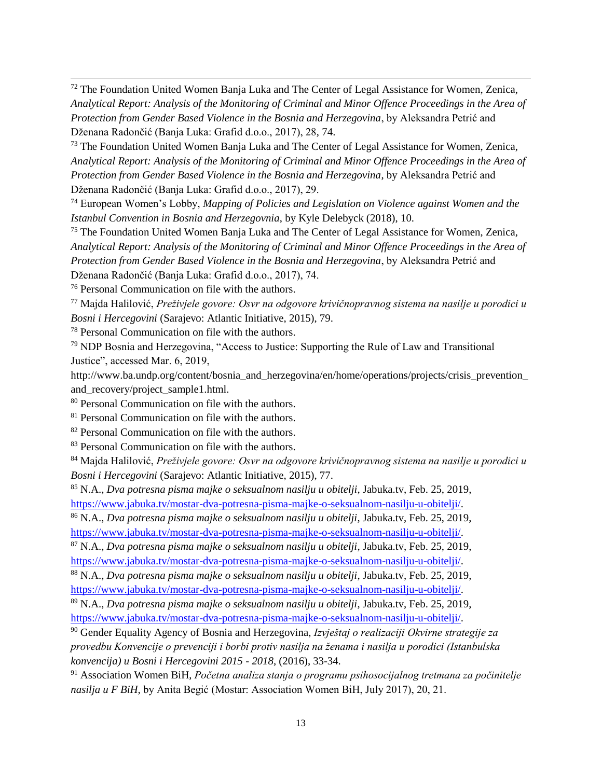<sup>72</sup> The Foundation United Women Banja Luka and The Center of Legal Assistance for Women, Zenica, *Analytical Report: Analysis of the Monitoring of Criminal and Minor Offence Proceedings in the Area of Protection from Gender Based Violence in the Bosnia and Herzegovina*, by Aleksandra Petrić and Dženana Radončić (Banja Luka: Grafid d.o.o., 2017), 28, 74.

<sup>73</sup> The Foundation United Women Banja Luka and The Center of Legal Assistance for Women, Zenica, *Analytical Report: Analysis of the Monitoring of Criminal and Minor Offence Proceedings in the Area of Protection from Gender Based Violence in the Bosnia and Herzegovina*, by Aleksandra Petrić and Dženana Radončić (Banja Luka: Grafid d.o.o., 2017), 29.

<sup>74</sup> European Women's Lobby, *Mapping of Policies and Legislation on Violence against Women and the Istanbul Convention in Bosnia and Herzegovnia*, by Kyle Delebyck (2018), 10.

<sup>75</sup> The Foundation United Women Banja Luka and The Center of Legal Assistance for Women, Zenica, *Analytical Report: Analysis of the Monitoring of Criminal and Minor Offence Proceedings in the Area of Protection from Gender Based Violence in the Bosnia and Herzegovina*, by Aleksandra Petrić and Dženana Radončić (Banja Luka: Grafid d.o.o., 2017), 74.

<sup>76</sup> Personal Communication on file with the authors.

<sup>77</sup> Majda Halilović, *Preživjele govore: Osvr na odgovore krivičnopravnog sistema na nasilje u porodici u Bosni i Hercegovini* (Sarajevo: Atlantic Initiative, 2015), 79.

<sup>78</sup> Personal Communication on file with the authors.

 $79$  NDP Bosnia and Herzegovina, "Access to Justice: Supporting the Rule of Law and Transitional Justice", accessed Mar. 6, 2019,

http://www.ba.undp.org/content/bosnia and herzegovina/en/home/operations/projects/crisis prevention and\_recovery/project\_sample1.html.

<sup>80</sup> Personal Communication on file with the authors.

<sup>81</sup> Personal Communication on file with the authors.

<sup>82</sup> Personal Communication on file with the authors.

<sup>83</sup> Personal Communication on file with the authors.

<sup>84</sup> Majda Halilović, *Preživjele govore: Osvr na odgovore krivičnopravnog sistema na nasilje u porodici u Bosni i Hercegovini* (Sarajevo: Atlantic Initiative, 2015), 77.

<sup>85</sup> N.A., *Dva potresna pisma majke o seksualnom nasilju u obitelji*, Jabuka.tv, Feb. 25, 2019, [https://www.jabuka.tv/mostar-dva-potresna-pisma-majke-o-seksualnom-nasilju-u-obitelji/.](https://www.jabuka.tv/mostar-dva-potresna-pisma-majke-o-seksualnom-nasilju-u-obitelji/)

<sup>86</sup> N.A., *Dva potresna pisma majke o seksualnom nasilju u obitelji*, Jabuka.tv, Feb. 25, 2019, [https://www.jabuka.tv/mostar-dva-potresna-pisma-majke-o-seksualnom-nasilju-u-obitelji/.](https://www.jabuka.tv/mostar-dva-potresna-pisma-majke-o-seksualnom-nasilju-u-obitelji/)

<sup>87</sup> N.A., *Dva potresna pisma majke o seksualnom nasilju u obitelji*, Jabuka.tv, Feb. 25, 2019, [https://www.jabuka.tv/mostar-dva-potresna-pisma-majke-o-seksualnom-nasilju-u-obitelji/.](https://www.jabuka.tv/mostar-dva-potresna-pisma-majke-o-seksualnom-nasilju-u-obitelji/)

<sup>88</sup> N.A., *Dva potresna pisma majke o seksualnom nasilju u obitelji*, Jabuka.tv, Feb. 25, 2019, [https://www.jabuka.tv/mostar-dva-potresna-pisma-majke-o-seksualnom-nasilju-u-obitelji/.](https://www.jabuka.tv/mostar-dva-potresna-pisma-majke-o-seksualnom-nasilju-u-obitelji/)

<sup>89</sup> N.A., *Dva potresna pisma majke o seksualnom nasilju u obitelji*, Jabuka.tv, Feb. 25, 2019, [https://www.jabuka.tv/mostar-dva-potresna-pisma-majke-o-seksualnom-nasilju-u-obitelji/.](https://www.jabuka.tv/mostar-dva-potresna-pisma-majke-o-seksualnom-nasilju-u-obitelji/)

<sup>90</sup> Gender Equality Agency of Bosnia and Herzegovina, *Izvještaj o realizaciji Okvirne strategije za provedbu Konvencije o prevenciji i borbi protiv nasilja na ženama i nasilja u porodici (Istanbulska konvencija) u Bosni i Hercegovini 2015 - 2018*, (2016), 33-34.

<sup>91</sup> Association Women BiH, *Početna analiza stanja o programu psihosocijalnog tretmana za počinitelje nasilja u F BiH,* by Anita Begić (Mostar: Association Women BiH, July 2017), 20, 21.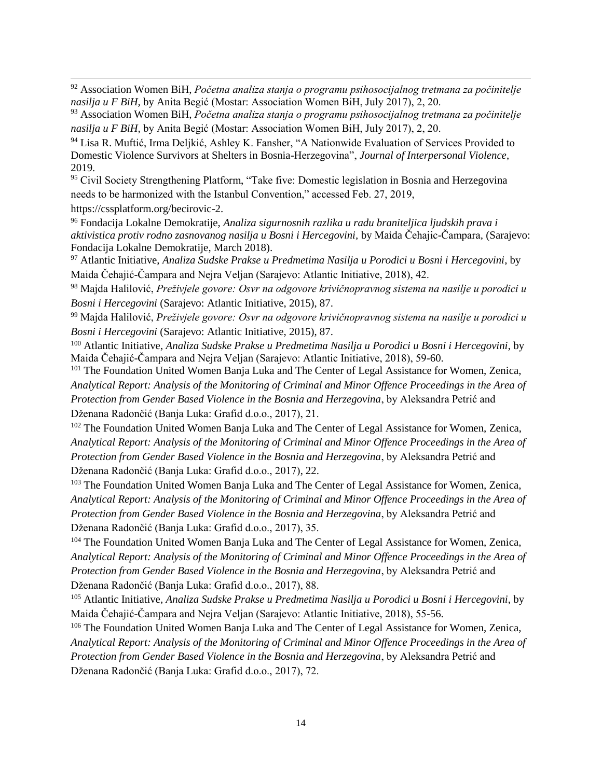<sup>92</sup> Association Women BiH, *Početna analiza stanja o programu psihosocijalnog tretmana za počinitelje nasilja u F BiH,* by Anita Begić (Mostar: Association Women BiH, July 2017), 2, 20.

<sup>93</sup> Association Women BiH, *Početna analiza stanja o programu psihosocijalnog tretmana za počinitelje nasilja u F BiH,* by Anita Begić (Mostar: Association Women BiH, July 2017), 2, 20.

<sup>94</sup> Lisa R. Muftić, Irma Deljkić, Ashley K. Fansher, "A Nationwide Evaluation of Services Provided to Domestic Violence Survivors at Shelters in Bosnia-Herzegovina", *Journal of Interpersonal Violence*, 2019.

<sup>95</sup> Civil Society Strengthening Platform, "Take five: Domestic legislation in Bosnia and Herzegovina needs to be harmonized with the Istanbul Convention," accessed Feb. 27, 2019,

https://cssplatform.org/becirovic-2.

<sup>96</sup> Fondacija Lokalne Demokratije, *Analiza sigurnosnih razlika u radu braniteljica ljudskih prava i aktivistica protiv rodno zasnovanog nasilja u Bosni i Hercegovini,* by Maida Čehajic-Čampara*,* (Sarajevo: Fondacija Lokalne Demokratije, March 2018).

<sup>97</sup> Atlantic Initiative, *Analiza Sudske Prakse u Predmetima Nasilja u Porodici u Bosni i Hercegovini*, by Maida Čehajić-Čampara and Nejra Veljan (Sarajevo: Atlantic Initiative, 2018), 42.

<sup>98</sup> Majda Halilović, *Preživjele govore: Osvr na odgovore krivičnopravnog sistema na nasilje u porodici u Bosni i Hercegovini* (Sarajevo: Atlantic Initiative, 2015), 87.

<sup>99</sup> Majda Halilović, *Preživjele govore: Osvr na odgovore krivičnopravnog sistema na nasilje u porodici u Bosni i Hercegovini* (Sarajevo: Atlantic Initiative, 2015), 87.

<sup>100</sup> Atlantic Initiative, *Analiza Sudske Prakse u Predmetima Nasilja u Porodici u Bosni i Hercegovini*, by Maida Čehajić-Čampara and Nejra Veljan (Sarajevo: Atlantic Initiative, 2018), 59-60.

<sup>101</sup> The Foundation United Women Banja Luka and The Center of Legal Assistance for Women, Zenica, *Analytical Report: Analysis of the Monitoring of Criminal and Minor Offence Proceedings in the Area of Protection from Gender Based Violence in the Bosnia and Herzegovina*, by Aleksandra Petrić and Dženana Radončić (Banja Luka: Grafid d.o.o., 2017), 21.

<sup>102</sup> The Foundation United Women Banja Luka and The Center of Legal Assistance for Women, Zenica, *Analytical Report: Analysis of the Monitoring of Criminal and Minor Offence Proceedings in the Area of Protection from Gender Based Violence in the Bosnia and Herzegovina*, by Aleksandra Petrić and Dženana Radončić (Banja Luka: Grafid d.o.o., 2017), 22.

<sup>103</sup> The Foundation United Women Banja Luka and The Center of Legal Assistance for Women, Zenica, *Analytical Report: Analysis of the Monitoring of Criminal and Minor Offence Proceedings in the Area of Protection from Gender Based Violence in the Bosnia and Herzegovina*, by Aleksandra Petrić and Dženana Radončić (Banja Luka: Grafid d.o.o., 2017), 35.

<sup>104</sup> The Foundation United Women Banja Luka and The Center of Legal Assistance for Women, Zenica, *Analytical Report: Analysis of the Monitoring of Criminal and Minor Offence Proceedings in the Area of Protection from Gender Based Violence in the Bosnia and Herzegovina*, by Aleksandra Petrić and Dženana Radončić (Banja Luka: Grafid d.o.o., 2017), 88.

<sup>105</sup> Atlantic Initiative, *Analiza Sudske Prakse u Predmetima Nasilja u Porodici u Bosni i Hercegovini*, by Maida Čehajić-Čampara and Nejra Veljan (Sarajevo: Atlantic Initiative, 2018), 55-56.

<sup>106</sup> The Foundation United Women Banja Luka and The Center of Legal Assistance for Women, Zenica, *Analytical Report: Analysis of the Monitoring of Criminal and Minor Offence Proceedings in the Area of Protection from Gender Based Violence in the Bosnia and Herzegovina*, by Aleksandra Petrić and Dženana Radončić (Banja Luka: Grafid d.o.o., 2017), 72.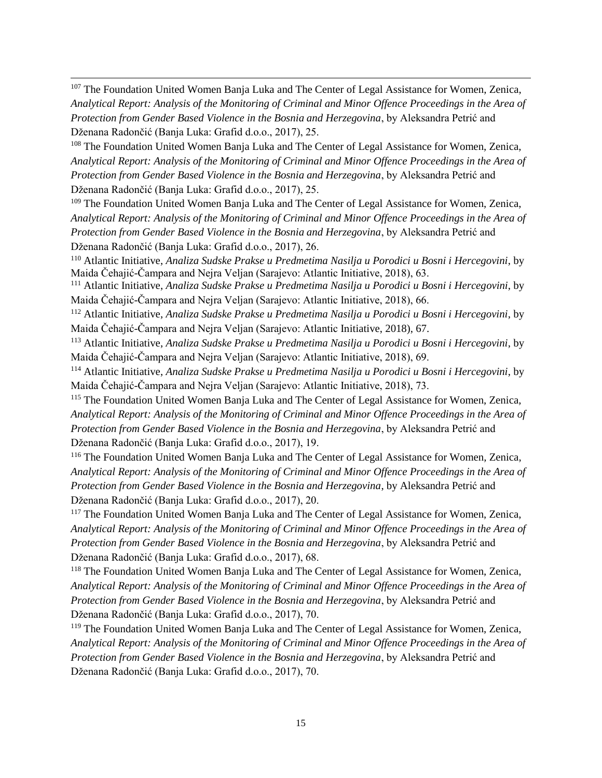<sup>107</sup> The Foundation United Women Banja Luka and The Center of Legal Assistance for Women, Zenica, *Analytical Report: Analysis of the Monitoring of Criminal and Minor Offence Proceedings in the Area of Protection from Gender Based Violence in the Bosnia and Herzegovina*, by Aleksandra Petrić and Dženana Radončić (Banja Luka: Grafid d.o.o., 2017), 25.

<sup>108</sup> The Foundation United Women Banja Luka and The Center of Legal Assistance for Women, Zenica, *Analytical Report: Analysis of the Monitoring of Criminal and Minor Offence Proceedings in the Area of Protection from Gender Based Violence in the Bosnia and Herzegovina*, by Aleksandra Petrić and Dženana Radončić (Banja Luka: Grafid d.o.o., 2017), 25.

<sup>109</sup> The Foundation United Women Banja Luka and The Center of Legal Assistance for Women, Zenica, *Analytical Report: Analysis of the Monitoring of Criminal and Minor Offence Proceedings in the Area of Protection from Gender Based Violence in the Bosnia and Herzegovina*, by Aleksandra Petrić and Dženana Radončić (Banja Luka: Grafid d.o.o., 2017), 26.

<sup>110</sup> Atlantic Initiative, *Analiza Sudske Prakse u Predmetima Nasilja u Porodici u Bosni i Hercegovini*, by Maida Čehajić-Čampara and Nejra Veljan (Sarajevo: Atlantic Initiative, 2018), 63.

<sup>111</sup> Atlantic Initiative, *Analiza Sudske Prakse u Predmetima Nasilja u Porodici u Bosni i Hercegovini*, by Maida Čehajić-Čampara and Nejra Veljan (Sarajevo: Atlantic Initiative, 2018), 66.

<sup>112</sup> Atlantic Initiative, *Analiza Sudske Prakse u Predmetima Nasilja u Porodici u Bosni i Hercegovini*, by Maida Čehajić-Čampara and Nejra Veljan (Sarajevo: Atlantic Initiative, 2018), 67.

<sup>113</sup> Atlantic Initiative, *Analiza Sudske Prakse u Predmetima Nasilja u Porodici u Bosni i Hercegovini*, by Maida Čehajić-Čampara and Nejra Veljan (Sarajevo: Atlantic Initiative, 2018), 69.

<sup>114</sup> Atlantic Initiative, *Analiza Sudske Prakse u Predmetima Nasilja u Porodici u Bosni i Hercegovini*, by Maida Čehajić-Čampara and Nejra Veljan (Sarajevo: Atlantic Initiative, 2018), 73.

<sup>115</sup> The Foundation United Women Banja Luka and The Center of Legal Assistance for Women, Zenica, *Analytical Report: Analysis of the Monitoring of Criminal and Minor Offence Proceedings in the Area of Protection from Gender Based Violence in the Bosnia and Herzegovina*, by Aleksandra Petrić and Dženana Radončić (Banja Luka: Grafid d.o.o., 2017), 19.

<sup>116</sup> The Foundation United Women Banja Luka and The Center of Legal Assistance for Women, Zenica, *Analytical Report: Analysis of the Monitoring of Criminal and Minor Offence Proceedings in the Area of Protection from Gender Based Violence in the Bosnia and Herzegovina*, by Aleksandra Petrić and Dženana Radončić (Banja Luka: Grafid d.o.o., 2017), 20.

<sup>117</sup> The Foundation United Women Banja Luka and The Center of Legal Assistance for Women, Zenica, *Analytical Report: Analysis of the Monitoring of Criminal and Minor Offence Proceedings in the Area of Protection from Gender Based Violence in the Bosnia and Herzegovina*, by Aleksandra Petrić and Dženana Radončić (Banja Luka: Grafid d.o.o., 2017), 68.

<sup>118</sup> The Foundation United Women Banja Luka and The Center of Legal Assistance for Women, Zenica, *Analytical Report: Analysis of the Monitoring of Criminal and Minor Offence Proceedings in the Area of Protection from Gender Based Violence in the Bosnia and Herzegovina*, by Aleksandra Petrić and Dženana Radončić (Banja Luka: Grafid d.o.o., 2017), 70.

<sup>119</sup> The Foundation United Women Banja Luka and The Center of Legal Assistance for Women, Zenica, *Analytical Report: Analysis of the Monitoring of Criminal and Minor Offence Proceedings in the Area of Protection from Gender Based Violence in the Bosnia and Herzegovina*, by Aleksandra Petrić and Dženana Radončić (Banja Luka: Grafid d.o.o., 2017), 70.